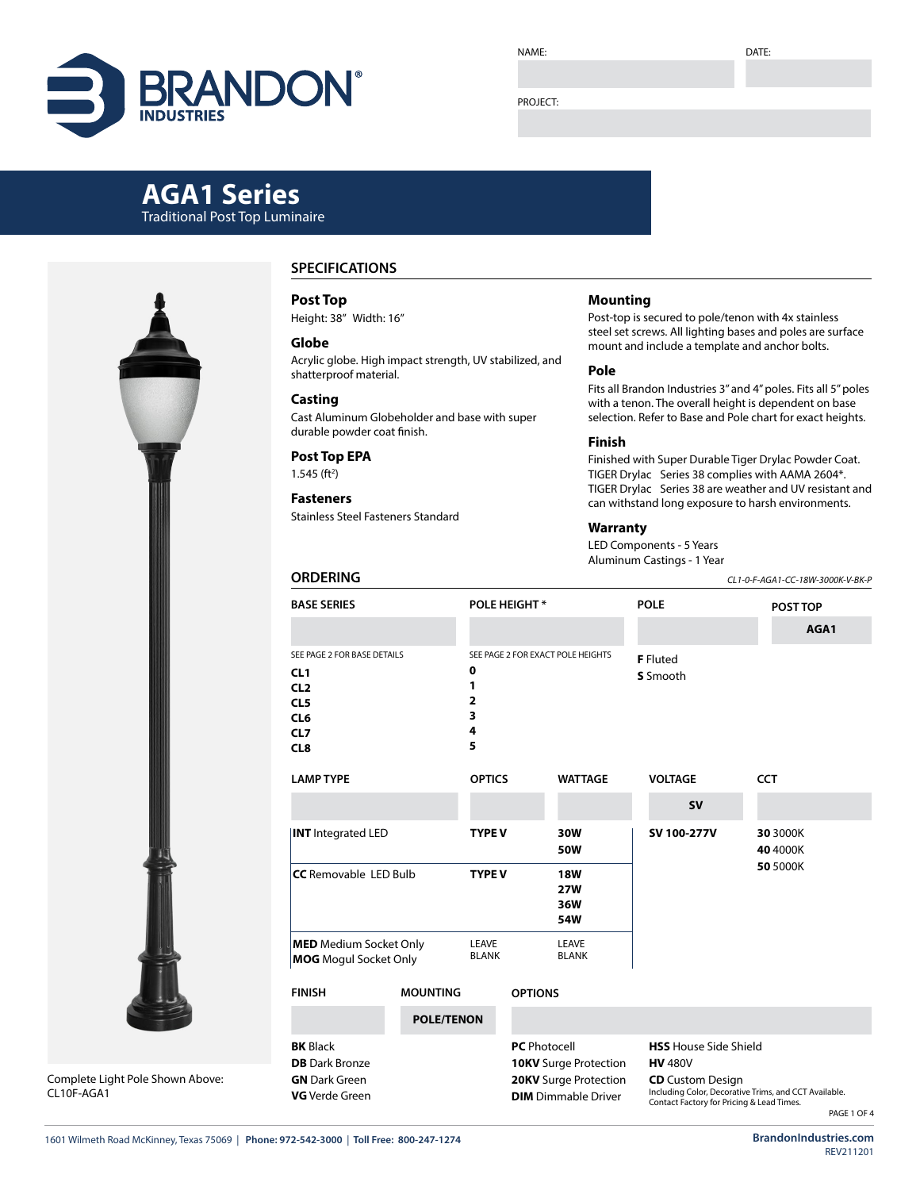# **BRANDO**

NAME:

DATE:

#### PROJECT:

# **AGA1 Series** Traditional Post Top Luminaire



Complete Light Pole Shown Above: CL10F-AGA1

## **SPECIFICATIONS**

**Post Top** Height: 38" Width: 16"

# **Globe**

Acrylic globe. High impact strength, UV stabilized, and shatterproof material.

#### **Casting**

Cast Aluminum Globeholder and base with super durable powder coat finish.

## **Post Top EPA**

**ORDERING**

 $1.545$  (ft<sup>2</sup>)

# **Fasteners**

Stainless Steel Fasteners Standard

#### **Mounting**

Post-top is secured to pole/tenon with 4x stainless steel set screws. All lighting bases and poles are surface mount and include a template and anchor bolts.

#### **Pole**

Fits all Brandon Industries 3" and 4" poles. Fits all 5" poles with a tenon. The overall height is dependent on base selection. Refer to Base and Pole chart for exact heights.

#### **Finish**

Finished with Super Durable Tiger Drylac Powder Coat. TIGER Drylac Series 38 complies with AAMA 2604\*. TIGER Drylac Series 38 are weather and UV resistant and can withstand long exposure to harsh environments.

#### **Warranty**

LED Components - 5 Years Aluminum Castings - 1 Year

*CL1-0-F-AGA1-CC-18W-3000K-V-BK-P*

| <b>BASE SERIES</b>                                                                                                                |                            |                                                                                                            | <b>POLE HEIGHT*</b>                    |  |                                                                                                                                    | <b>POLE</b> | POST TOP<br>AGA1     |  |  |  |
|-----------------------------------------------------------------------------------------------------------------------------------|----------------------------|------------------------------------------------------------------------------------------------------------|----------------------------------------|--|------------------------------------------------------------------------------------------------------------------------------------|-------------|----------------------|--|--|--|
| SEE PAGE 2 FOR BASE DETAILS<br>CL <sub>1</sub><br>CL <sub>2</sub><br>CL <sub>5</sub><br>CL <sub>6</sub><br>CL7<br>CL <sub>8</sub> | 0<br>1<br>2<br>3<br>4<br>5 |                                                                                                            | SEE PAGE 2 FOR EXACT POLE HEIGHTS      |  | <b>F</b> Fluted<br>S Smooth                                                                                                        |             |                      |  |  |  |
| <b>LAMP TYPE</b>                                                                                                                  | <b>OPTICS</b>              |                                                                                                            | <b>WATTAGE</b>                         |  | <b>VOLTAGE</b>                                                                                                                     |             | <b>CCT</b>           |  |  |  |
|                                                                                                                                   |                            |                                                                                                            |                                        |  | <b>SV</b>                                                                                                                          |             |                      |  |  |  |
| <b>INT</b> Integrated LED                                                                                                         | <b>TYPE V</b>              |                                                                                                            | 30W<br>50W                             |  | SV 100-277V                                                                                                                        |             | 30 3000K<br>40 4000K |  |  |  |
| <b>CC</b> Removable LED Bulb                                                                                                      | <b>TYPE V</b>              |                                                                                                            | <b>18W</b><br><b>27W</b><br>36W<br>54W |  |                                                                                                                                    |             | 50 5000K             |  |  |  |
| <b>MED</b> Medium Socket Only<br><b>MOG</b> Mogul Socket Only                                                                     | LEAVE<br><b>BLANK</b>      |                                                                                                            | LEAVE<br><b>BLANK</b>                  |  |                                                                                                                                    |             |                      |  |  |  |
| <b>FINISH</b>                                                                                                                     |                            | <b>OPTIONS</b>                                                                                             |                                        |  |                                                                                                                                    |             |                      |  |  |  |
|                                                                                                                                   | <b>POLE/TENON</b>          |                                                                                                            |                                        |  |                                                                                                                                    |             |                      |  |  |  |
| <b>BK</b> Black<br><b>DB</b> Dark Bronze<br><b>GN</b> Dark Green<br><b>VG</b> Verde Green                                         |                            | <b>PC</b> Photocell<br><b>10KV</b> Surge Protection<br>20KV Surge Protection<br><b>DIM</b> Dimmable Driver |                                        |  | <b>HSS</b> House Side Shield<br><b>HV 480V</b><br><b>CD</b> Custom Design<br>Including Color, Decorative Trims, and CCT Available. |             |                      |  |  |  |

**DIM** Dimmable Driver

Contact Factory for Pricing & Lead Times.

PAGE 1 OF 4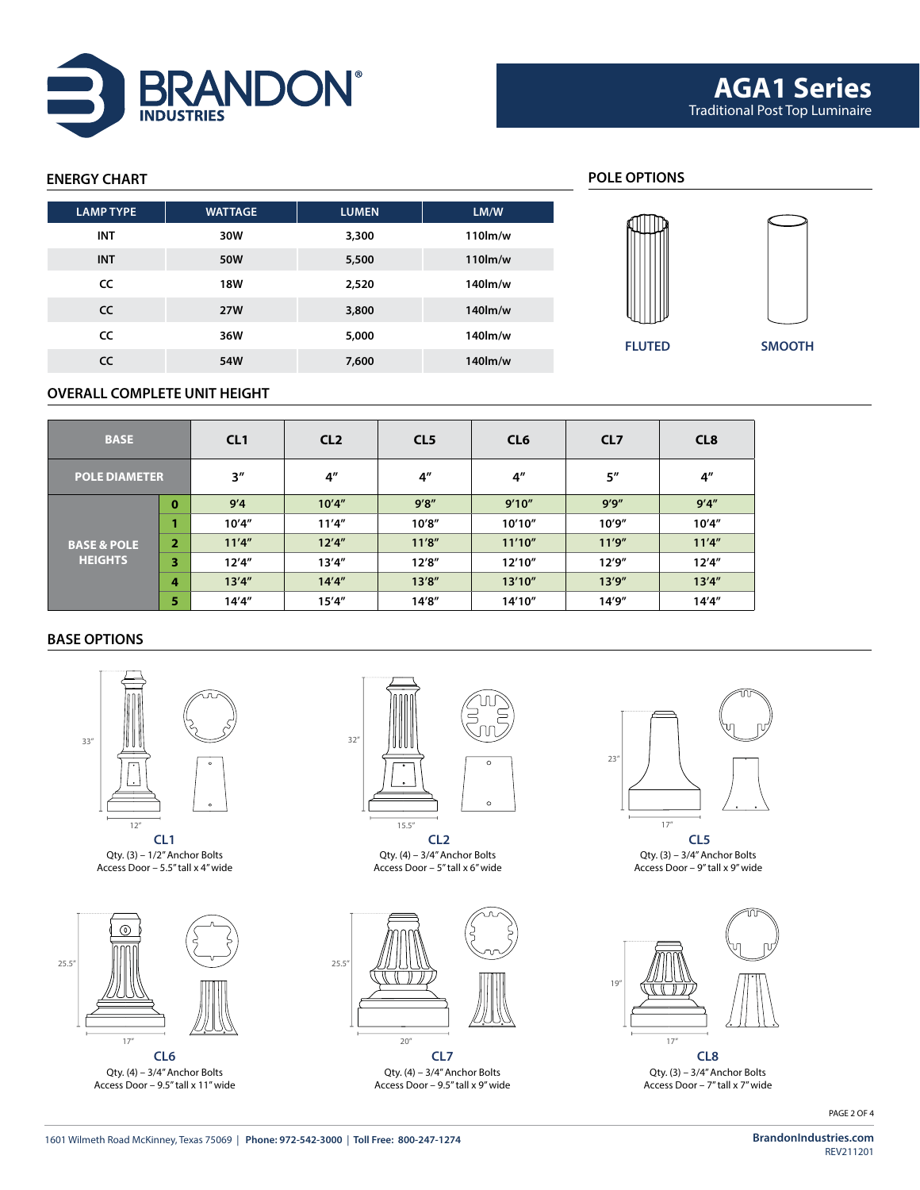

# **ENERGY CHART POLE OPTIONS FLUTED SMOOTH LAMP TYPE WATTAGE LUMEN LM/W INT 30W 3,300 110lm/w INT 50W 5,500 110lm/w CC 18W 2,520 140lm/w CC 27W 3,800 140lm/w CC 36W 5,000 140lm/w CC 54W 7,600 140lm/w**

## **OVERALL COMPLETE UNIT HEIGHT**

| <b>BASE</b>                              |                | CL1                | CL <sub>2</sub> | CL <sub>5</sub> | CL <sub>6</sub>    | CL <sub>7</sub> | CL <sub>8</sub> |
|------------------------------------------|----------------|--------------------|-----------------|-----------------|--------------------|-----------------|-----------------|
| <b>POLE DIAMETER</b>                     |                | $3^{\prime\prime}$ | 4 <sup>''</sup> | 4 <sup>''</sup> | $4^{\prime\prime}$ | 5"              | 4 <sup>''</sup> |
| <b>BASE &amp; POLE</b><br><b>HEIGHTS</b> | $\bf{0}$       | 9'4                | 10'4''          | 9'8''           | 9'10''             | 9'9''           | 9'4''           |
|                                          |                | 10'4''             | 11'4''          | 10'8''          | 10'10"             | 10'9''          | 10'4''          |
|                                          | $\overline{2}$ | 11'4''             | 12'4''          | 11'8''          | 11'10''            | 11'9''          | 11'4''          |
|                                          | 3              | 12'4''             | 13'4''          | 12'8''          | 12'10''            | 12'9''          | 12'4''          |
|                                          | 4              | 13'4''             | 14'4''          | 13'8''          | 13'10"             | 13'9''          | 13'4''          |
|                                          | 5              | 14'4''             | 15'4''          | 14'8''          | 14'10"             | 14'9"           | 14'4''          |

## **BASE OPTIONS**



Qty. (3) – 1/2" Anchor Bolts Access Door – 5.5" tall x 4" wide



Qty. (4) – 3/4" Anchor Bolts Access Door – 9.5" tall x 11" wide



**CL1 CL2 CL5** Qty. (4) – 3/4" Anchor Bolts Access Door – 5" tall x 6" wide



**CL6 CL7 CL8** Qty. (4) – 3/4" Anchor Bolts Access Door – 9.5" tall x 9" wide



Qty. (3) – 3/4" Anchor Bolts Access Door – 9" tall x 9" wide



Qty. (3) – 3/4" Anchor Bolts Access Door – 7" tall x 7" wide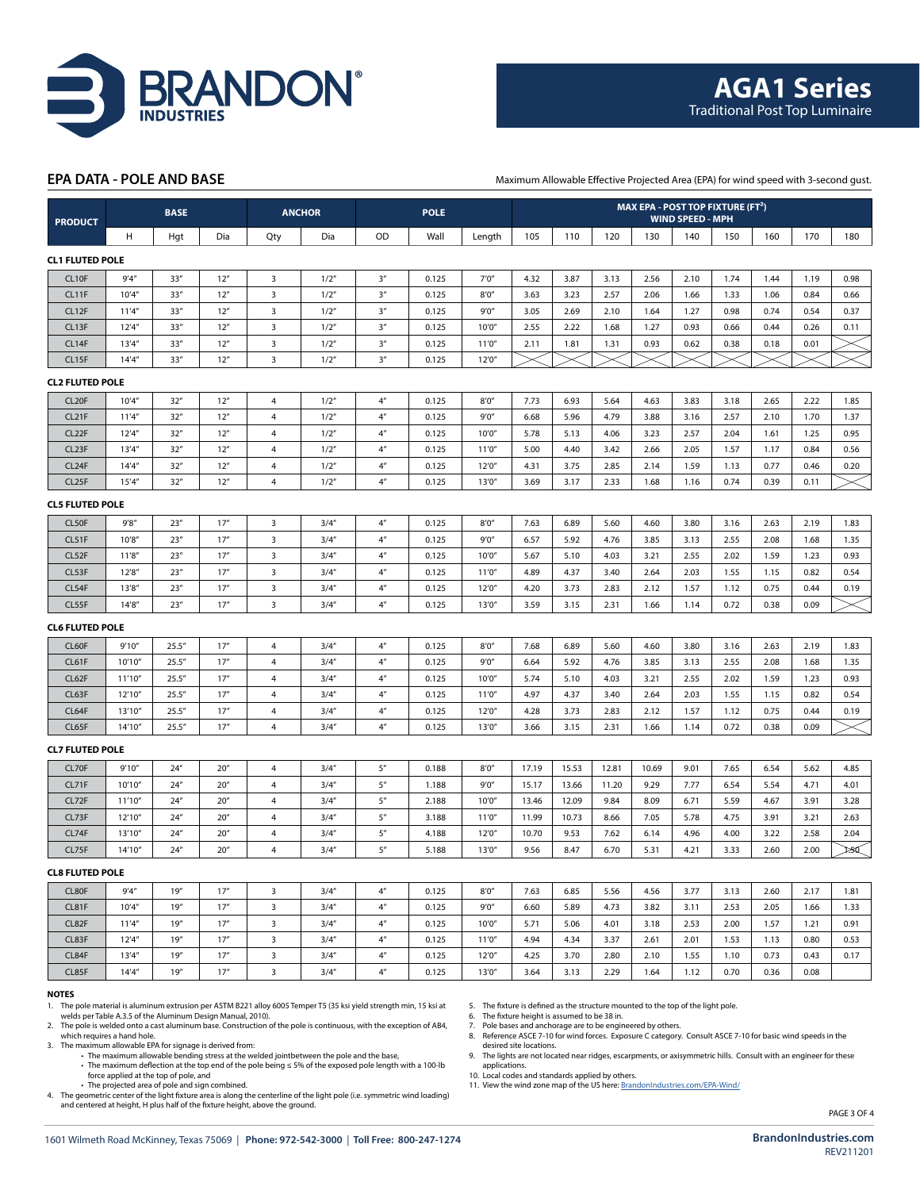

#### **EPA DATA - POLE AND BASE**

Maximum Allowable Effective Projected Area (EPA) for wind speed with 3-second gust.

| <b>PRODUCT</b>         |         | <b>BASE</b> |                 | <b>ANCHOR</b>           |       | <b>POLE</b>        |       |        | MAX EPA - POST TOP FIXTURE (FT <sup>2</sup> )<br><b>WIND SPEED - MPH</b> |       |       |       |      |      |      |      |      |
|------------------------|---------|-------------|-----------------|-------------------------|-------|--------------------|-------|--------|--------------------------------------------------------------------------|-------|-------|-------|------|------|------|------|------|
|                        | н       | Hgt         | Dia             | Qty                     | Dia   | OD                 | Wall  | Length | 105                                                                      | 110   | 120   | 130   | 140  | 150  | 160  | 170  | 180  |
| <b>CL1 FLUTED POLE</b> |         |             |                 |                         |       |                    |       |        |                                                                          |       |       |       |      |      |      |      |      |
| CL <sub>10F</sub>      | 9'4''   | 33''        | 12"             | $\overline{3}$          | 1/2"  | 3''                | 0.125 | 7'0''  | 4.32                                                                     | 3.87  | 3.13  | 2.56  | 2.10 | 1.74 | 1.44 | 1.19 | 0.98 |
| CL11F                  | 10'4''  | 33''        | 12"             | 3                       | 1/2"  | 3 <sup>n</sup>     | 0.125 | 8'0''  | 3.63                                                                     | 3.23  | 2.57  | 2.06  | 1.66 | 1.33 | 1.06 | 0.84 | 0.66 |
| CL12F                  | 11'4''  | 33''        | 12''            | $\overline{\mathbf{3}}$ | 1/2'' | 3''                | 0.125 | 9'0''  | 3.05                                                                     | 2.69  | 2.10  | 1.64  | 1.27 | 0.98 | 0.74 | 0.54 | 0.37 |
| CL13F                  | 12'4''  | 33''        | 12''            | 3                       | 1/2"  | 3''                | 0.125 | 10'0'  | 2.55                                                                     | 2.22  | 1.68  | 1.27  | 0.93 | 0.66 | 0.44 | 0.26 | 0.11 |
| CL14F                  | 13'4''  | 33''        | 12''            | $\overline{\mathbf{3}}$ | 1/2"  | 3''                | 0.125 | 11'0'' | 2.11                                                                     | 1.81  | 1.31  | 0.93  | 0.62 | 0.38 | 0.18 | 0.01 |      |
| CL15F                  | 14'4''  | 33''        | 12"             | $\overline{\mathbf{3}}$ | 1/2"  | 3''                | 0.125 | 12'0'' |                                                                          |       |       |       |      |      |      |      |      |
| <b>CL2 FLUTED POLE</b> |         |             |                 |                         |       |                    |       |        |                                                                          |       |       |       |      |      |      |      |      |
| CL <sub>20F</sub>      | 10'4''  | 32"         | 12"             | 4                       | 1/2'' | 4 <sup>n</sup>     | 0.125 | 8'0''  | 7.73                                                                     | 6.93  | 5.64  | 4.63  | 3.83 | 3.18 | 2.65 | 2.22 | 1.85 |
| CL <sub>21</sub> F     | 11'4''  | 32"         | 12"             | $\overline{4}$          | 1/2'' | $4^{\prime\prime}$ | 0.125 | 9'0''  | 6.68                                                                     | 5.96  | 4.79  | 3.88  | 3.16 | 2.57 | 2.10 | 1.70 | 1.37 |
| CL <sub>22</sub> F     | 12'4''  | 32''        | 12''            | $\overline{a}$          | 1/2"  | $4^{\prime\prime}$ | 0.125 | 10'0'' | 5.78                                                                     | 5.13  | 4.06  | 3.23  | 2.57 | 2.04 | 1.61 | 1.25 | 0.95 |
| CL <sub>23</sub> F     | 13'4''  | 32"         | 12"             | $\overline{4}$          | 1/2"  | $4''$              | 0.125 | 11'0'' | 5.00                                                                     | 4.40  | 3.42  | 2.66  | 2.05 | 1.57 | 1.17 | 0.84 | 0.56 |
| CL <sub>24</sub> F     | 14'4''  | 32"         | 12"             | 4                       | 1/2"  | 4 <sup>n</sup>     | 0.125 | 12'0'' | 4.31                                                                     | 3.75  | 2.85  | 2.14  | 1.59 | 1.13 | 0.77 | 0.46 | 0.20 |
| CL <sub>25F</sub>      | 15'4''  | 32"         | 12"             | $\overline{4}$          | 1/2"  | 4 <sup>n</sup>     | 0.125 | 13'0'' | 3.69                                                                     | 3.17  | 2.33  | 1.68  | 1.16 | 0.74 | 0.39 | 0.11 |      |
| <b>CL5 FLUTED POLE</b> |         |             |                 |                         |       |                    |       |        |                                                                          |       |       |       |      |      |      |      |      |
| CL50F                  | 9'8''   | 23''        | 17''            | $\overline{\mathbf{3}}$ | 3/4'' | $4^{\prime\prime}$ | 0.125 | 8'0''  | 7.63                                                                     | 6.89  | 5.60  | 4.60  | 3.80 | 3.16 | 2.63 | 2.19 | 1.83 |
| CL51F                  | 10'8''  | 23''        | 17''            | $\overline{\mathbf{3}}$ | 3/4'' | 4 <sup>n</sup>     | 0.125 | 9'0''  | 6.57                                                                     | 5.92  | 4.76  | 3.85  | 3.13 | 2.55 | 2.08 | 1.68 | 1.35 |
| CL52F                  | 11'8''  | 23''        | 17''            | $\overline{\mathbf{3}}$ | 3/4'' | $4''$              | 0.125 | 10'0'' | 5.67                                                                     | 5.10  | 4.03  | 3.21  | 2.55 | 2.02 | 1.59 | 1.23 | 0.93 |
| CL53F                  | 12'8''  | 23''        | 17''            | $\overline{\mathbf{3}}$ | 3/4'' | 4 <sup>n</sup>     | 0.125 | 11'0'' | 4.89                                                                     | 4.37  | 3.40  | 2.64  | 2.03 | 1.55 | 1.15 | 0.82 | 0.54 |
| CL54F                  | 13'8''  | 23''        | 17''            | 3                       | 3/4'' | $4^{\prime\prime}$ | 0.125 | 12'0'' | 4.20                                                                     | 3.73  | 2.83  | 2.12  | 1.57 | 1.12 | 0.75 | 0.44 | 0.19 |
| CL55F                  | 14'8''  | 23''        | 17''            | 3                       | 3/4'' | 4 <sup>n</sup>     | 0.125 | 13'0'' | 3.59                                                                     | 3.15  | 2.31  | 1.66  | 1.14 | 0.72 | 0.38 | 0.09 |      |
| <b>CL6 FLUTED POLE</b> |         |             |                 |                         |       |                    |       |        |                                                                          |       |       |       |      |      |      |      |      |
| CL60F                  | 9'10''  | 25.5''      | 17''            | $\overline{4}$          | 3/4'' | $4''$              | 0.125 | 8'0''  | 7.68                                                                     | 6.89  | 5.60  | 4.60  | 3.80 | 3.16 | 2.63 | 2.19 | 1.83 |
| CL61F                  | 10'10'' | 25.5''      | 17''            | 4                       | 3/4'' | 4 <sup>n</sup>     | 0.125 | 9'0''  | 6.64                                                                     | 5.92  | 4.76  | 3.85  | 3.13 | 2.55 | 2.08 | 1.68 | 1.35 |
| CL62F                  | 11'10"  | 25.5''      | 17''            | 4                       | 3/4'' | $4^{\prime\prime}$ | 0.125 | 10'0'' | 5.74                                                                     | 5.10  | 4.03  | 3.21  | 2.55 | 2.02 | 1.59 | 1.23 | 0.93 |
| CL63F                  | 12'10"  | 25.5''      | 17''            | $\overline{4}$          | 3/4'' | 4 <sup>n</sup>     | 0.125 | 11'0'' | 4.97                                                                     | 4.37  | 3.40  | 2.64  | 2.03 | 1.55 | 1.15 | 0.82 | 0.54 |
| CL64F                  | 13'10"  | 25.5''      | 17''            | 4                       | 3/4'' | $4''$              | 0.125 | 12'0'' | 4.28                                                                     | 3.73  | 2.83  | 2.12  | 1.57 | 1.12 | 0.75 | 0.44 | 0.19 |
| CL65F                  | 14'10'' | 25.5''      | 17''            | $\overline{4}$          | 3/4'' | 4 <sup>n</sup>     | 0.125 | 13'0'' | 3.66                                                                     | 3.15  | 2.31  | 1.66  | 1.14 | 0.72 | 0.38 | 0.09 |      |
| <b>CL7 FLUTED POLE</b> |         |             |                 |                         |       |                    |       |        |                                                                          |       |       |       |      |      |      |      |      |
| CL70F                  | 9'10''  | 24''        | 20''            | 4                       | 3/4'' | 5''                | 0.188 | 8'0''  | 17.19                                                                    | 15.53 | 12.81 | 10.69 | 9.01 | 7.65 | 6.54 | 5.62 | 4.85 |
| CL71F                  | 10'10"  | 24''        | 20 <sup>n</sup> | $\overline{4}$          | 3/4'' | 5''                | 1.188 | 9'0''  | 15.17                                                                    | 13.66 | 11.20 | 9.29  | 7.77 | 6.54 | 5.54 | 4.71 | 4.01 |
| CL72F                  | 11'10"  | 24''        | 20''            | $\overline{4}$          | 3/4'' | 5''                | 2.188 | 10'0'' | 13.46                                                                    | 12.09 | 9.84  | 8.09  | 6.71 | 5.59 | 4.67 | 3.91 | 3.28 |
| CL73F                  | 12'10"  | 24''        | 20''            | $\overline{4}$          | 3/4'' | 5''                | 3.188 | 11'0'' | 11.99                                                                    | 10.73 | 8.66  | 7.05  | 5.78 | 4.75 | 3.91 | 3.21 | 2.63 |
| CL74F                  | 13'10'' | 24''        | 20''            | 4                       | 3/4'' | 5''                | 4.188 | 12'0'' | 10.70                                                                    | 9.53  | 7.62  | 6.14  | 4.96 | 4.00 | 3.22 | 2.58 | 2.04 |
| CL75F                  | 14'10'' | 24''        | 20''            | 4                       | 3/4'' | 5''                | 5.188 | 13'0'' | 9.56                                                                     | 8.47  | 6.70  | 5.31  | 4.21 | 3.33 | 2.60 | 2.00 | 130. |
| <b>CL8 FLUTED POLE</b> |         |             |                 |                         |       |                    |       |        |                                                                          |       |       |       |      |      |      |      |      |
| CL80F                  | 9'4''   | 19''        | 17''            | $\overline{\mathbf{3}}$ | 3/4'' | 4 <sup>n</sup>     | 0.125 | 8'0''  | 7.63                                                                     | 6.85  | 5.56  | 4.56  | 3.77 | 3.13 | 2.60 | 2.17 | 1.81 |
| CL81F                  | 10'4''  | 19''        | 17''            | $\overline{\mathbf{3}}$ | 3/4'' | $4''$              | 0.125 | 9'0''  | 6.60                                                                     | 5.89  | 4.73  | 3.82  | 3.11 | 2.53 | 2.05 | 1.66 | 1.33 |
| CL82F                  | 11'4''  | 19''        | 17''            | $\overline{3}$          | 3/4'' | 4 <sup>n</sup>     | 0.125 | 10'0'' | 5.71                                                                     | 5.06  | 4.01  | 3.18  | 2.53 | 2.00 | 1.57 | 1.21 | 0.91 |
| CL83F                  | 12'4''  | 19''        | 17''            | $\overline{\mathbf{3}}$ | 3/4'' | 4 <sup>n</sup>     | 0.125 | 11'0'' | 4.94                                                                     | 4.34  | 3.37  | 2.61  | 2.01 | 1.53 | 1.13 | 0.80 | 0.53 |
| CL84F                  | 13'4''  | 19''        | 17''            | $\overline{\mathbf{3}}$ | 3/4'' | $4^{\prime\prime}$ | 0.125 | 12'0'' | 4.25                                                                     | 3.70  | 2.80  | 2.10  | 1.55 | 1.10 | 0.73 | 0.43 | 0.17 |
| CL85F                  | 14'4''  | 19''        | 17''            | $\overline{\mathbf{3}}$ | 3/4'' | 4 <sup>n</sup>     | 0.125 | 13'0'' | 3.64                                                                     | 3.13  | 2.29  | 1.64  | 1.12 | 0.70 | 0.36 | 0.08 |      |
| <b>NOTES</b>           |         |             |                 |                         |       |                    |       |        |                                                                          |       |       |       |      |      |      |      |      |

1. The pole material is aluminum extrusion per ASTM B221 alloy 6005 Temper T5 (35 ksi yield strength min, 15 ksi at welds per Table A.3.5 of the Aluminum Design Manual, 2010).

2. The pole is welded onto a cast aluminum base. Construction of the pole is continuous, with the exception of AB4, which requires a hand hole.

3. The maximum allowable EPA for signage is derived from: • The maximum allowable bending stress at the welded jointbetween the pole and the base,

• The maximum deflection at the top end of the pole being ≤ 5% of the exposed pole length with a 100-lb force applied at the top of pole, and

• The projected area of pole and sign combined.<br>A The geometric center of the light fixture area is along the centerline of the light pole (i.e. symmetric wind loading)<br>and centered at height, H plus half of the fixture h

5. The fixture is defined as the structure mounted to the top of the light pole. 6. The fixture height is assumed to be 38 in.

7. Pole bases and anchorage are to be engineered by others. 8. Reference ASCE 7-10 for wind forces. Exposure C category. Consult ASCE 7-10 for basic wind speeds in the

desired site locations. 9. The lights are not located near ridges, escarpments, or axisymmetric hills. Consult with an engineer for these

applications. 10. Local codes and standards applied by others.

11. View the wind zone map of the US here: [BrandonIndustries.com/EPA-Wind/](http://BrandonIndustries.com/EPA-Wind/)

PAGE 3 OF 4